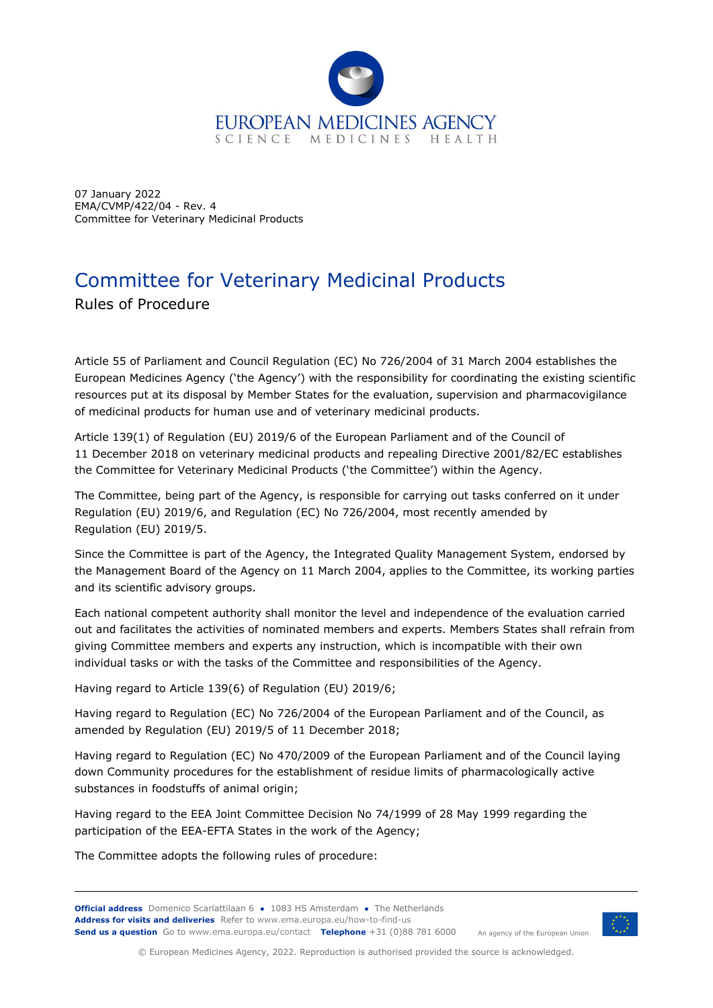

07 January 2022 EMA/CVMP/422/04 - Rev. 4 Committee for Veterinary Medicinal Products

# Committee for Veterinary Medicinal Products

Rules of Procedure

Article 55 of Parliament and Council Regulation (EC) No 726/2004 of 31 March 2004 establishes the European Medicines Agency ('the Agency') with the responsibility for coordinating the existing scientific resources put at its disposal by Member States for the evaluation, supervision and pharmacovigilance of medicinal products for human use and of veterinary medicinal products.

Article 139(1) of Regulation (EU) 2019/6 of the European Parliament and of the Council of 11 December 2018 on veterinary medicinal products and repealing Directive 2001/82/EC establishes the Committee for Veterinary Medicinal Products ('the Committee') within the Agency.

The Committee, being part of the Agency, is responsible for carrying out tasks conferred on it under Regulation (EU) 2019/6, and Regulation (EC) No 726/2004, most recently amended by Regulation (EU) 2019/5.

Since the Committee is part of the Agency, the Integrated Quality Management System, endorsed by the Management Board of the Agency on 11 March 2004, applies to the Committee, its working parties and its scientific advisory groups.

Each national competent authority shall monitor the level and independence of the evaluation carried out and facilitates the activities of nominated members and experts. Members States shall refrain from giving Committee members and experts any instruction, which is incompatible with their own individual tasks or with the tasks of the Committee and responsibilities of the Agency.

Having regard to Article 139(6) of Regulation (EU) 2019/6;

Having regard to Regulation (EC) No 726/2004 of the European Parliament and of the Council, as amended by Regulation (EU) 2019/5 of 11 December 2018;

Having regard to Regulation (EC) No 470/2009 of the European Parliament and of the Council laying down Community procedures for the establishment of residue limits of pharmacologically active substances in foodstuffs of animal origin;

Having regard to the EEA Joint Committee Decision No 74/1999 of 28 May 1999 regarding the participation of the EEA-EFTA States in the work of the Agency;

The Committee adopts the following rules of procedure:

**Official address** Domenico Scarlattilaan 6 **●** 1083 HS Amsterdam **●** The Netherlands An agency of the European Union **Address for visits and deliveries** Refer to www.ema.europa.eu/how-to-find-us **Send us a question** Go to www.ema.europa.eu/contact **Telephone** +31 (0)88 781 6000



© European Medicines Agency, 2022. Reproduction is authorised provided the source is acknowledged.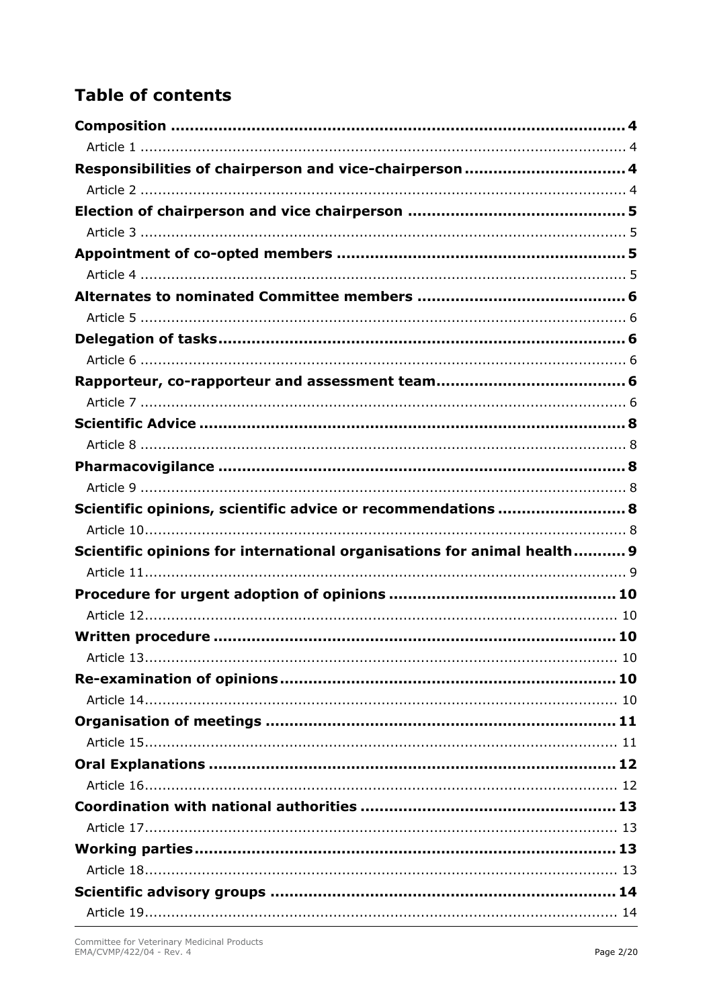# **Table of contents**

| Responsibilities of chairperson and vice-chairperson  4                 |  |
|-------------------------------------------------------------------------|--|
|                                                                         |  |
|                                                                         |  |
|                                                                         |  |
|                                                                         |  |
|                                                                         |  |
|                                                                         |  |
|                                                                         |  |
|                                                                         |  |
|                                                                         |  |
|                                                                         |  |
|                                                                         |  |
|                                                                         |  |
|                                                                         |  |
|                                                                         |  |
|                                                                         |  |
| Scientific opinions, scientific advice or recommendations  8            |  |
|                                                                         |  |
| Scientific opinions for international organisations for animal health 9 |  |
|                                                                         |  |
|                                                                         |  |
|                                                                         |  |
|                                                                         |  |
|                                                                         |  |
|                                                                         |  |
|                                                                         |  |
|                                                                         |  |
|                                                                         |  |
|                                                                         |  |
|                                                                         |  |
|                                                                         |  |
|                                                                         |  |
|                                                                         |  |
|                                                                         |  |
|                                                                         |  |
|                                                                         |  |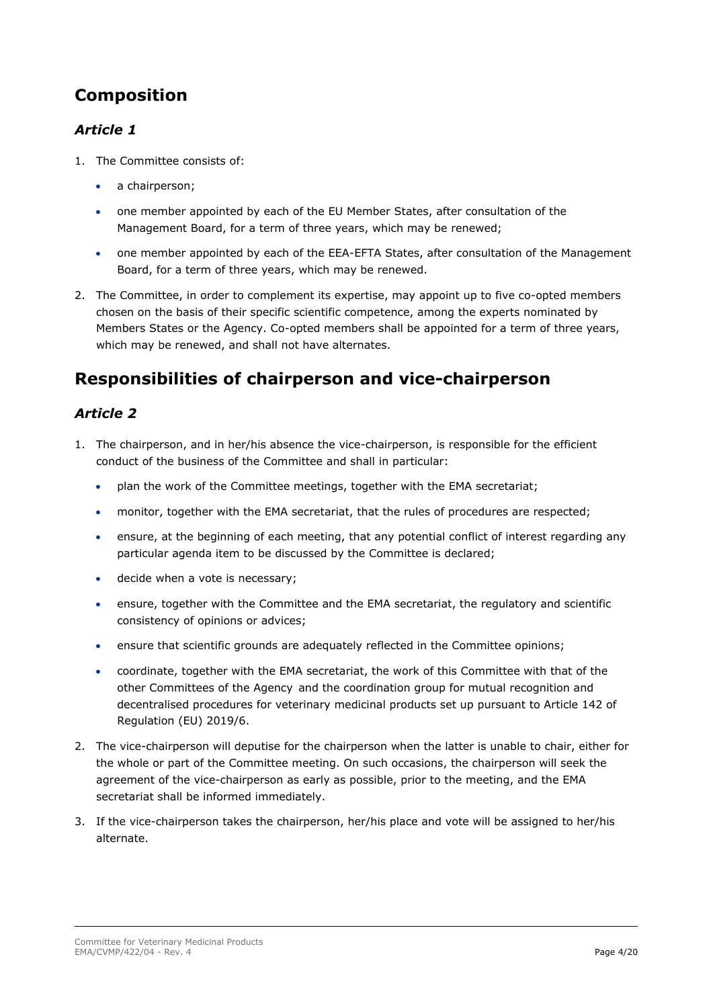## <span id="page-3-0"></span>**Composition**

#### <span id="page-3-1"></span>*Article 1*

- 1. The Committee consists of:
	- a chairperson;
	- one member appointed by each of the EU Member States, after consultation of the Management Board, for a term of three years, which may be renewed;
	- one member appointed by each of the EEA-EFTA States, after consultation of the Management Board, for a term of three years, which may be renewed.
- 2. The Committee, in order to complement its expertise, may appoint up to five co-opted members chosen on the basis of their specific scientific competence, among the experts nominated by Members States or the Agency. Co-opted members shall be appointed for a term of three years, which may be renewed, and shall not have alternates.

### <span id="page-3-3"></span><span id="page-3-2"></span>**Responsibilities of chairperson and vice-chairperson**

- 1. The chairperson, and in her/his absence the vice-chairperson, is responsible for the efficient conduct of the business of the Committee and shall in particular:
	- plan the work of the Committee meetings, together with the EMA secretariat;
	- monitor, together with the EMA secretariat, that the rules of procedures are respected;
	- ensure, at the beginning of each meeting, that any potential conflict of interest regarding any particular agenda item to be discussed by the Committee is declared;
	- decide when a vote is necessary;
	- ensure, together with the Committee and the EMA secretariat, the regulatory and scientific consistency of opinions or advices;
	- ensure that scientific grounds are adequately reflected in the Committee opinions;
	- coordinate, together with the EMA secretariat, the work of this Committee with that of the other Committees of the Agency and the coordination group for mutual recognition and decentralised procedures for veterinary medicinal products set up pursuant to Article 142 of Regulation (EU) 2019/6.
- 2. The vice-chairperson will deputise for the chairperson when the latter is unable to chair, either for the whole or part of the Committee meeting. On such occasions, the chairperson will seek the agreement of the vice-chairperson as early as possible, prior to the meeting, and the EMA secretariat shall be informed immediately.
- 3. If the vice-chairperson takes the chairperson, her/his place and vote will be assigned to her/his alternate.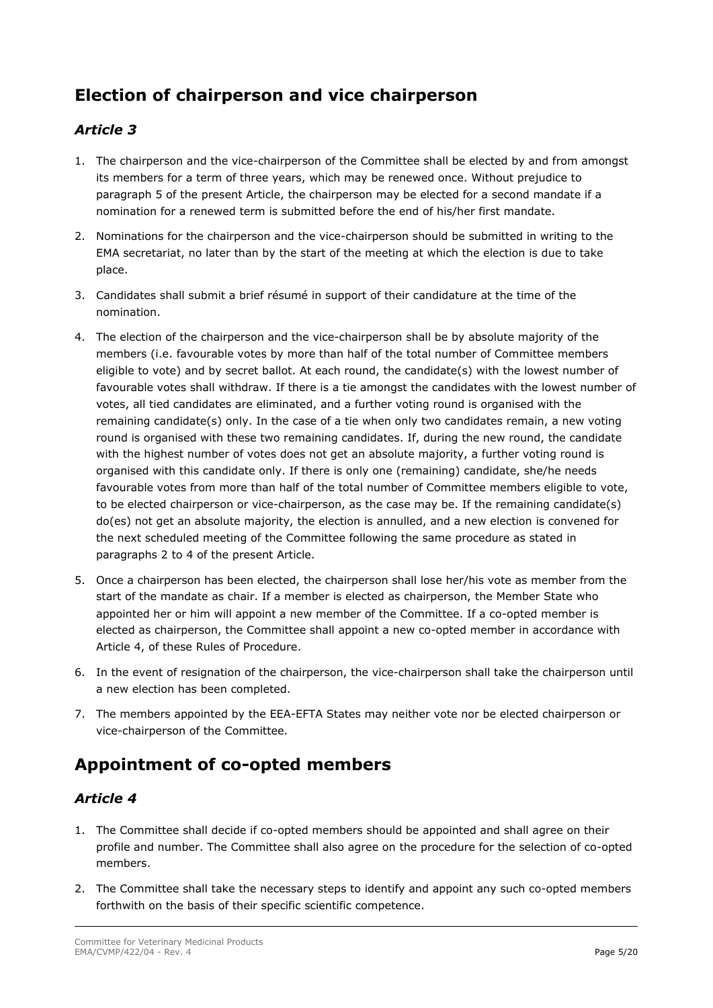## <span id="page-4-0"></span>**Election of chairperson and vice chairperson**

#### <span id="page-4-1"></span>*Article 3*

- 1. The chairperson and the vice-chairperson of the Committee shall be elected by and from amongst its members for a term of three years, which may be renewed once. Without prejudice to paragraph 5 of the present Article, the chairperson may be elected for a second mandate if a nomination for a renewed term is submitted before the end of his/her first mandate.
- 2. Nominations for the chairperson and the vice-chairperson should be submitted in writing to the EMA secretariat, no later than by the start of the meeting at which the election is due to take place.
- 3. Candidates shall submit a brief résumé in support of their candidature at the time of the nomination.
- 4. The election of the chairperson and the vice-chairperson shall be by absolute majority of the members (i.e. favourable votes by more than half of the total number of Committee members eligible to vote) and by secret ballot. At each round, the candidate(s) with the lowest number of favourable votes shall withdraw. If there is a tie amongst the candidates with the lowest number of votes, all tied candidates are eliminated, and a further voting round is organised with the remaining candidate(s) only. In the case of a tie when only two candidates remain, a new voting round is organised with these two remaining candidates. If, during the new round, the candidate with the highest number of votes does not get an absolute majority, a further voting round is organised with this candidate only. If there is only one (remaining) candidate, she/he needs favourable votes from more than half of the total number of Committee members eligible to vote, to be elected chairperson or vice-chairperson, as the case may be. If the remaining candidate(s) do(es) not get an absolute majority, the election is annulled, and a new election is convened for the next scheduled meeting of the Committee following the same procedure as stated in paragraphs 2 to 4 of the present Article.
- 5. Once a chairperson has been elected, the chairperson shall lose her/his vote as member from the start of the mandate as chair. If a member is elected as chairperson, the Member State who appointed her or him will appoint a new member of the Committee. If a co-opted member is elected as chairperson, the Committee shall appoint a new co-opted member in accordance with Article 4, of these Rules of Procedure.
- 6. In the event of resignation of the chairperson, the vice-chairperson shall take the chairperson until a new election has been completed.
- 7. The members appointed by the EEA-EFTA States may neither vote nor be elected chairperson or vice-chairperson of the Committee.

### <span id="page-4-3"></span><span id="page-4-2"></span>**Appointment of co-opted members**

- 1. The Committee shall decide if co-opted members should be appointed and shall agree on their profile and number. The Committee shall also agree on the procedure for the selection of co-opted members.
- 2. The Committee shall take the necessary steps to identify and appoint any such co-opted members forthwith on the basis of their specific scientific competence.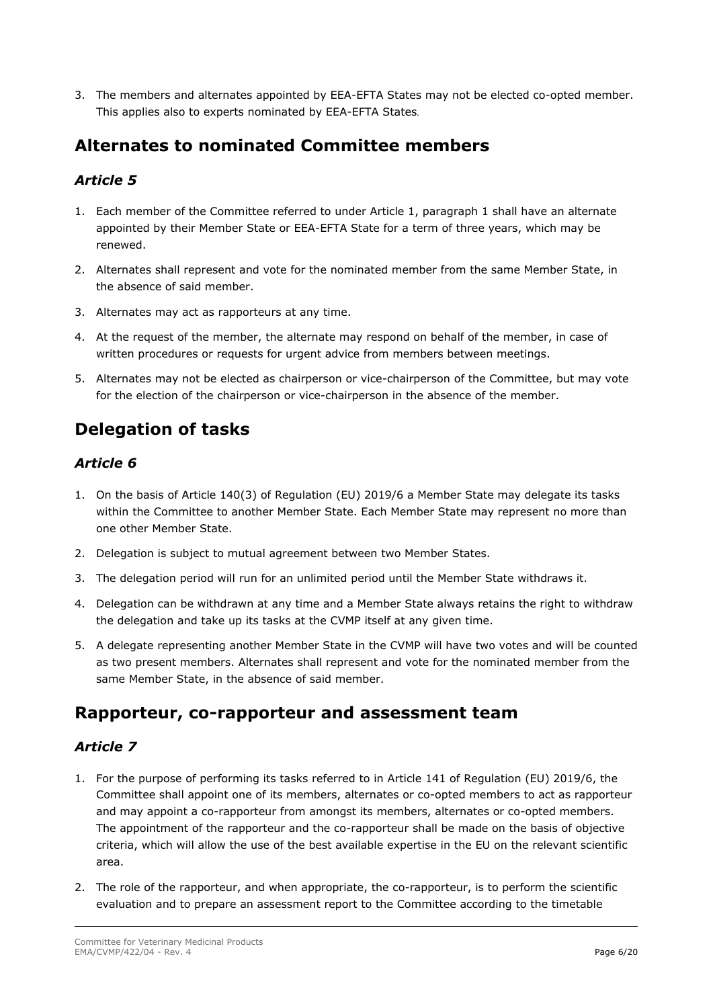3. The members and alternates appointed by EEA-EFTA States may not be elected co-opted member. This applies also to experts nominated by EEA-EFTA States.

### <span id="page-5-0"></span>**Alternates to nominated Committee members**

### <span id="page-5-1"></span>*Article 5*

- 1. Each member of the Committee referred to under Article 1, paragraph 1 shall have an alternate appointed by their Member State or EEA-EFTA State for a term of three years, which may be renewed.
- 2. Alternates shall represent and vote for the nominated member from the same Member State, in the absence of said member.
- 3. Alternates may act as rapporteurs at any time.
- 4. At the request of the member, the alternate may respond on behalf of the member, in case of written procedures or requests for urgent advice from members between meetings.
- 5. Alternates may not be elected as chairperson or vice-chairperson of the Committee, but may vote for the election of the chairperson or vice-chairperson in the absence of the member.

### <span id="page-5-2"></span>**Delegation of tasks**

#### <span id="page-5-3"></span>*Article 6*

- 1. On the basis of Article 140(3) of Regulation (EU) 2019/6 a Member State may delegate its tasks within the Committee to another Member State. Each Member State may represent no more than one other Member State.
- 2. Delegation is subject to mutual agreement between two Member States.
- 3. The delegation period will run for an unlimited period until the Member State withdraws it.
- 4. Delegation can be withdrawn at any time and a Member State always retains the right to withdraw the delegation and take up its tasks at the CVMP itself at any given time.
- 5. A delegate representing another Member State in the CVMP will have two votes and will be counted as two present members. Alternates shall represent and vote for the nominated member from the same Member State, in the absence of said member.

### <span id="page-5-5"></span><span id="page-5-4"></span>**Rapporteur, co-rapporteur and assessment team**

- 1. For the purpose of performing its tasks referred to in Article 141 of Regulation (EU) 2019/6, the Committee shall appoint one of its members, alternates or co-opted members to act as rapporteur and may appoint a co-rapporteur from amongst its members, alternates or co-opted members. The appointment of the rapporteur and the co-rapporteur shall be made on the basis of objective criteria, which will allow the use of the best available expertise in the EU on the relevant scientific area.
- 2. The role of the rapporteur, and when appropriate, the co-rapporteur, is to perform the scientific evaluation and to prepare an assessment report to the Committee according to the timetable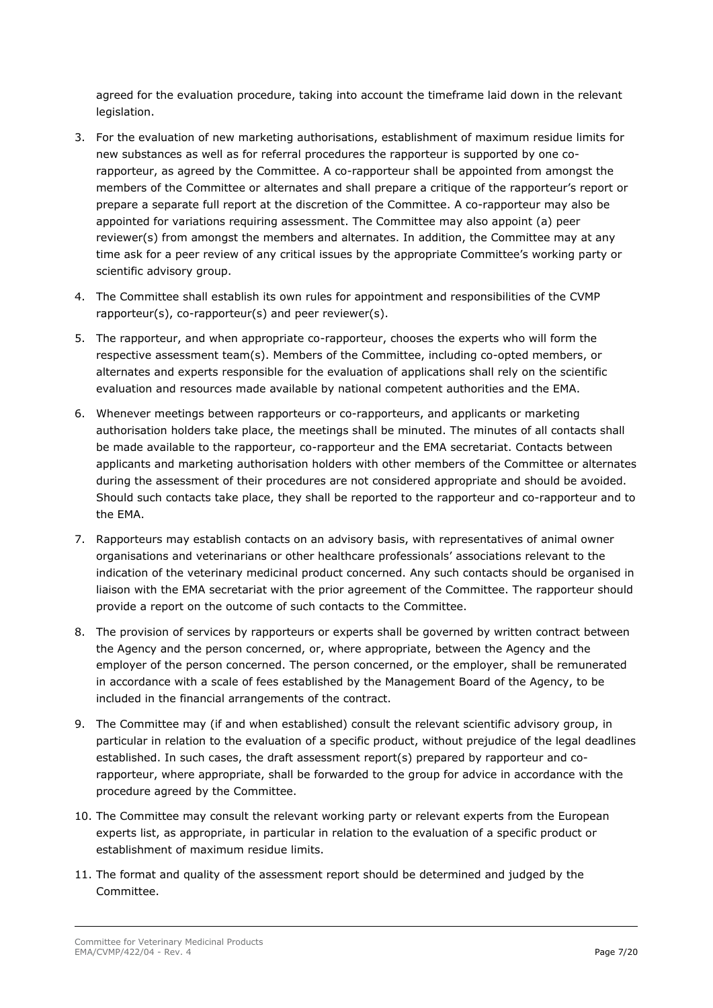agreed for the evaluation procedure, taking into account the timeframe laid down in the relevant legislation.

- 3. For the evaluation of new marketing authorisations, establishment of maximum residue limits for new substances as well as for referral procedures the rapporteur is supported by one corapporteur, as agreed by the Committee. A co-rapporteur shall be appointed from amongst the members of the Committee or alternates and shall prepare a critique of the rapporteur's report or prepare a separate full report at the discretion of the Committee. A co-rapporteur may also be appointed for variations requiring assessment. The Committee may also appoint (a) peer reviewer(s) from amongst the members and alternates. In addition, the Committee may at any time ask for a peer review of any critical issues by the appropriate Committee's working party or scientific advisory group.
- 4. The Committee shall establish its own rules for appointment and responsibilities of the CVMP rapporteur(s), co-rapporteur(s) and peer reviewer(s).
- 5. The rapporteur, and when appropriate co-rapporteur, chooses the experts who will form the respective assessment team(s). Members of the Committee, including co-opted members, or alternates and experts responsible for the evaluation of applications shall rely on the scientific evaluation and resources made available by national competent authorities and the EMA.
- 6. Whenever meetings between rapporteurs or co-rapporteurs, and applicants or marketing authorisation holders take place, the meetings shall be minuted. The minutes of all contacts shall be made available to the rapporteur, co-rapporteur and the EMA secretariat. Contacts between applicants and marketing authorisation holders with other members of the Committee or alternates during the assessment of their procedures are not considered appropriate and should be avoided. Should such contacts take place, they shall be reported to the rapporteur and co-rapporteur and to the EMA.
- 7. Rapporteurs may establish contacts on an advisory basis, with representatives of animal owner organisations and veterinarians or other healthcare professionals' associations relevant to the indication of the veterinary medicinal product concerned. Any such contacts should be organised in liaison with the EMA secretariat with the prior agreement of the Committee. The rapporteur should provide a report on the outcome of such contacts to the Committee.
- 8. The provision of services by rapporteurs or experts shall be governed by written contract between the Agency and the person concerned, or, where appropriate, between the Agency and the employer of the person concerned. The person concerned, or the employer, shall be remunerated in accordance with a scale of fees established by the Management Board of the Agency, to be included in the financial arrangements of the contract.
- 9. The Committee may (if and when established) consult the relevant scientific advisory group, in particular in relation to the evaluation of a specific product, without prejudice of the legal deadlines established. In such cases, the draft assessment report(s) prepared by rapporteur and corapporteur, where appropriate, shall be forwarded to the group for advice in accordance with the procedure agreed by the Committee.
- 10. The Committee may consult the relevant working party or relevant experts from the European experts list, as appropriate, in particular in relation to the evaluation of a specific product or establishment of maximum residue limits.
- 11. The format and quality of the assessment report should be determined and judged by the Committee.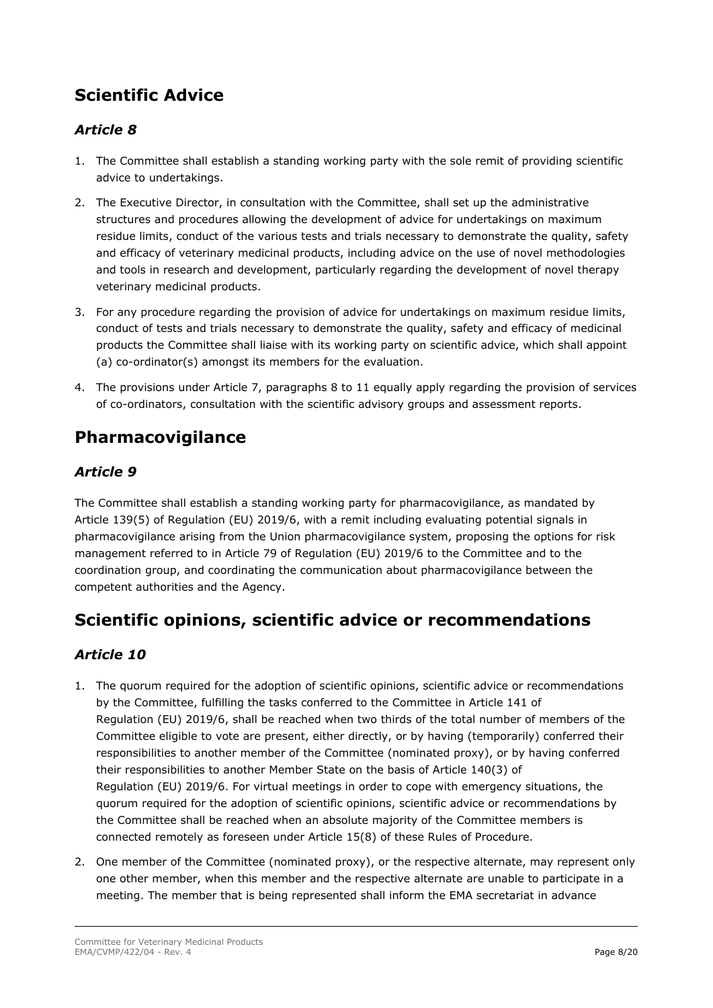# <span id="page-7-0"></span>**Scientific Advice**

### <span id="page-7-1"></span>*Article 8*

- 1. The Committee shall establish a standing working party with the sole remit of providing scientific advice to undertakings.
- 2. The Executive Director, in consultation with the Committee, shall set up the administrative structures and procedures allowing the development of advice for undertakings on maximum residue limits, conduct of the various tests and trials necessary to demonstrate the quality, safety and efficacy of veterinary medicinal products, including advice on the use of novel methodologies and tools in research and development, particularly regarding the development of novel therapy veterinary medicinal products.
- 3. For any procedure regarding the provision of advice for undertakings on maximum residue limits, conduct of tests and trials necessary to demonstrate the quality, safety and efficacy of medicinal products the Committee shall liaise with its working party on scientific advice, which shall appoint (a) co-ordinator(s) amongst its members for the evaluation.
- 4. The provisions under Article 7, paragraphs 8 to 11 equally apply regarding the provision of services of co-ordinators, consultation with the scientific advisory groups and assessment reports.

### <span id="page-7-2"></span>**Pharmacovigilance**

### <span id="page-7-3"></span>*Article 9*

The Committee shall establish a standing working party for pharmacovigilance, as mandated by Article 139(5) of Regulation (EU) 2019/6, with a remit including evaluating potential signals in pharmacovigilance arising from the Union pharmacovigilance system, proposing the options for risk management referred to in Article 79 of Regulation (EU) 2019/6 to the Committee and to the coordination group, and coordinating the communication about pharmacovigilance between the competent authorities and the Agency.

## <span id="page-7-5"></span><span id="page-7-4"></span>**Scientific opinions, scientific advice or recommendations**

- 1. The quorum required for the adoption of scientific opinions, scientific advice or recommendations by the Committee, fulfilling the tasks conferred to the Committee in Article 141 of Regulation (EU) 2019/6, shall be reached when two thirds of the total number of members of the Committee eligible to vote are present, either directly, or by having (temporarily) conferred their responsibilities to another member of the Committee (nominated proxy), or by having conferred their responsibilities to another Member State on the basis of Article 140(3) of Regulation (EU) 2019/6. For virtual meetings in order to cope with emergency situations, the quorum required for the adoption of scientific opinions, scientific advice or recommendations by the Committee shall be reached when an absolute majority of the Committee members is connected remotely as foreseen under Article 15(8) of these Rules of Procedure.
- 2. One member of the Committee (nominated proxy), or the respective alternate, may represent only one other member, when this member and the respective alternate are unable to participate in a meeting. The member that is being represented shall inform the EMA secretariat in advance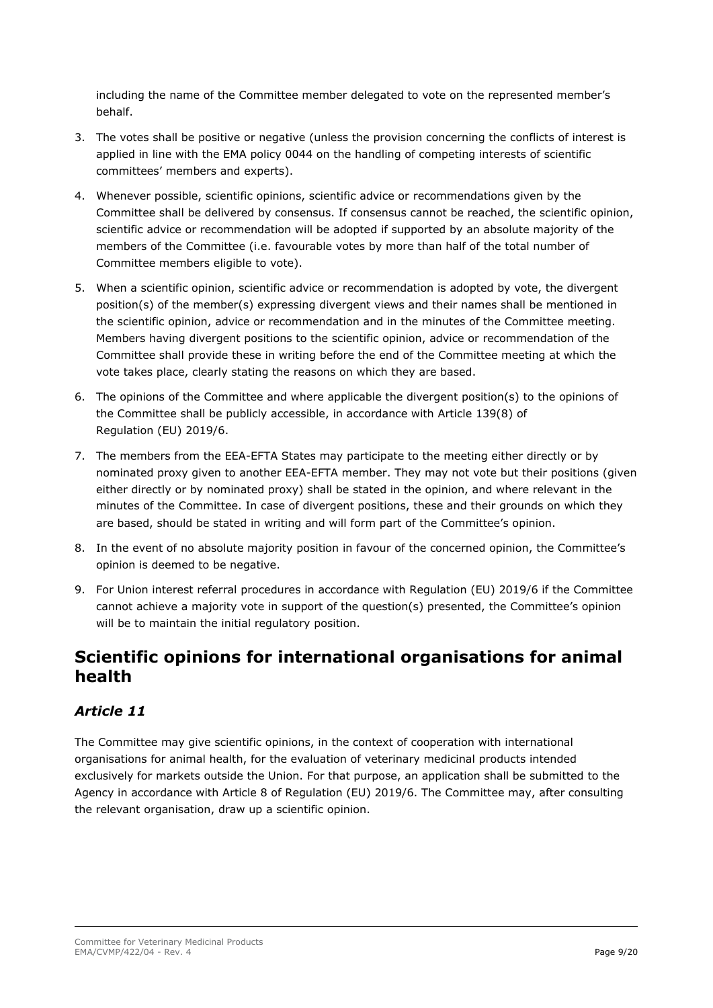including the name of the Committee member delegated to vote on the represented member's behalf.

- 3. The votes shall be positive or negative (unless the provision concerning the conflicts of interest is applied in line with the EMA policy 0044 on the handling of competing interests of scientific committees' members and experts).
- 4. Whenever possible, scientific opinions, scientific advice or recommendations given by the Committee shall be delivered by consensus. If consensus cannot be reached, the scientific opinion, scientific advice or recommendation will be adopted if supported by an absolute majority of the members of the Committee (i.e. favourable votes by more than half of the total number of Committee members eligible to vote).
- 5. When a scientific opinion, scientific advice or recommendation is adopted by vote, the divergent position(s) of the member(s) expressing divergent views and their names shall be mentioned in the scientific opinion, advice or recommendation and in the minutes of the Committee meeting. Members having divergent positions to the scientific opinion, advice or recommendation of the Committee shall provide these in writing before the end of the Committee meeting at which the vote takes place, clearly stating the reasons on which they are based.
- 6. The opinions of the Committee and where applicable the divergent position(s) to the opinions of the Committee shall be publicly accessible, in accordance with Article 139(8) of Regulation (EU) 2019/6.
- 7. The members from the EEA-EFTA States may participate to the meeting either directly or by nominated proxy given to another EEA-EFTA member. They may not vote but their positions (given either directly or by nominated proxy) shall be stated in the opinion, and where relevant in the minutes of the Committee. In case of divergent positions, these and their grounds on which they are based, should be stated in writing and will form part of the Committee's opinion.
- 8. In the event of no absolute majority position in favour of the concerned opinion, the Committee's opinion is deemed to be negative.
- 9. For Union interest referral procedures in accordance with Regulation (EU) 2019/6 if the Committee cannot achieve a majority vote in support of the question(s) presented, the Committee's opinion will be to maintain the initial regulatory position.

### <span id="page-8-0"></span>**Scientific opinions for international organisations for animal health**

### <span id="page-8-1"></span>*Article 11*

The Committee may give scientific opinions, in the context of cooperation with international organisations for animal health, for the evaluation of veterinary medicinal products intended exclusively for markets outside the Union. For that purpose, an application shall be submitted to the Agency in accordance with Article 8 of Regulation (EU) 2019/6. The Committee may, after consulting the relevant organisation, draw up a scientific opinion.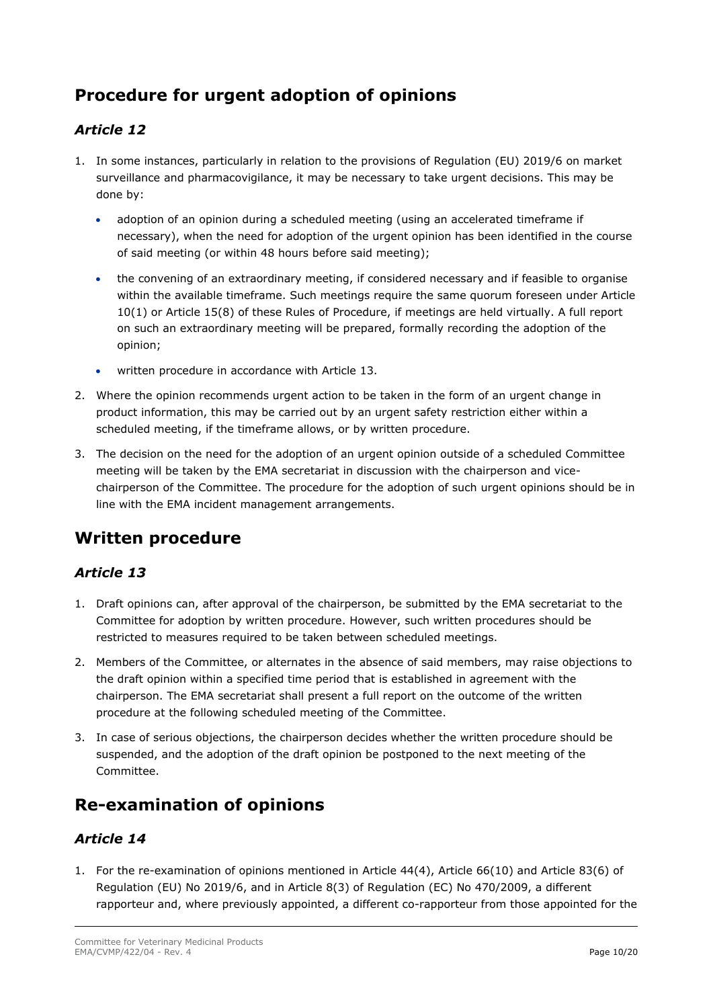## <span id="page-9-0"></span>**Procedure for urgent adoption of opinions**

### <span id="page-9-1"></span>*Article 12*

- 1. In some instances, particularly in relation to the provisions of Regulation (EU) 2019/6 on market surveillance and pharmacovigilance, it may be necessary to take urgent decisions. This may be done by:
	- adoption of an opinion during a scheduled meeting (using an accelerated timeframe if necessary), when the need for adoption of the urgent opinion has been identified in the course of said meeting (or within 48 hours before said meeting);
	- the convening of an extraordinary meeting, if considered necessary and if feasible to organise within the available timeframe. Such meetings require the same quorum foreseen under Article 10(1) or Article 15(8) of these Rules of Procedure, if meetings are held virtually. A full report on such an extraordinary meeting will be prepared, formally recording the adoption of the opinion;
	- written procedure in accordance with Article 13.
- 2. Where the opinion recommends urgent action to be taken in the form of an urgent change in product information, this may be carried out by an urgent safety restriction either within a scheduled meeting, if the timeframe allows, or by written procedure.
- 3. The decision on the need for the adoption of an urgent opinion outside of a scheduled Committee meeting will be taken by the EMA secretariat in discussion with the chairperson and vicechairperson of the Committee. The procedure for the adoption of such urgent opinions should be in line with the EMA incident management arrangements.

### <span id="page-9-2"></span>**Written procedure**

#### <span id="page-9-3"></span>*Article 13*

- 1. Draft opinions can, after approval of the chairperson, be submitted by the EMA secretariat to the Committee for adoption by written procedure. However, such written procedures should be restricted to measures required to be taken between scheduled meetings.
- 2. Members of the Committee, or alternates in the absence of said members, may raise objections to the draft opinion within a specified time period that is established in agreement with the chairperson. The EMA secretariat shall present a full report on the outcome of the written procedure at the following scheduled meeting of the Committee.
- 3. In case of serious objections, the chairperson decides whether the written procedure should be suspended, and the adoption of the draft opinion be postponed to the next meeting of the Committee.

### <span id="page-9-4"></span>**Re-examination of opinions**

### <span id="page-9-5"></span>*Article 14*

1. For the re-examination of opinions mentioned in Article 44(4), Article 66(10) and Article 83(6) of Regulation (EU) No 2019/6, and in Article 8(3) of Regulation (EC) No 470/2009, a different rapporteur and, where previously appointed, a different co-rapporteur from those appointed for the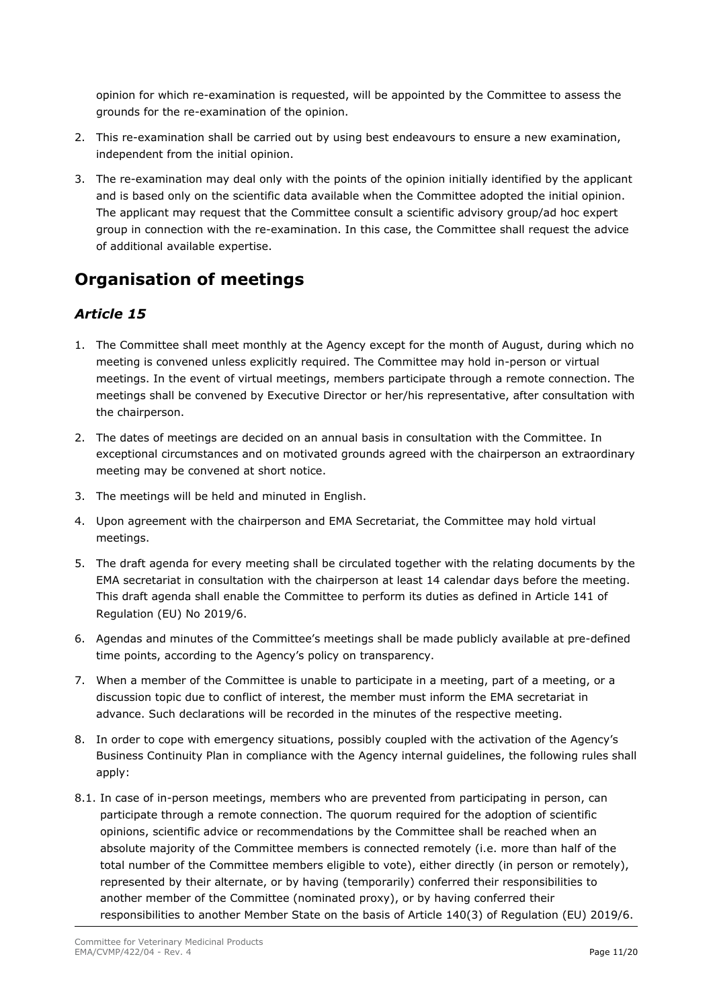opinion for which re-examination is requested, will be appointed by the Committee to assess the grounds for the re-examination of the opinion.

- 2. This re-examination shall be carried out by using best endeavours to ensure a new examination, independent from the initial opinion.
- 3. The re-examination may deal only with the points of the opinion initially identified by the applicant and is based only on the scientific data available when the Committee adopted the initial opinion. The applicant may request that the Committee consult a scientific advisory group/ad hoc expert group in connection with the re-examination. In this case, the Committee shall request the advice of additional available expertise.

### <span id="page-10-1"></span><span id="page-10-0"></span>**Organisation of meetings**

- 1. The Committee shall meet monthly at the Agency except for the month of August, during which no meeting is convened unless explicitly required. The Committee may hold in-person or virtual meetings. In the event of virtual meetings, members participate through a remote connection. The meetings shall be convened by Executive Director or her/his representative, after consultation with the chairperson.
- 2. The dates of meetings are decided on an annual basis in consultation with the Committee. In exceptional circumstances and on motivated grounds agreed with the chairperson an extraordinary meeting may be convened at short notice.
- 3. The meetings will be held and minuted in English.
- 4. Upon agreement with the chairperson and EMA Secretariat, the Committee may hold virtual meetings.
- 5. The draft agenda for every meeting shall be circulated together with the relating documents by the EMA secretariat in consultation with the chairperson at least 14 calendar days before the meeting. This draft agenda shall enable the Committee to perform its duties as defined in Article 141 of Regulation (EU) No 2019/6.
- 6. Agendas and minutes of the Committee's meetings shall be made publicly available at pre-defined time points, according to the Agency's policy on transparency.
- 7. When a member of the Committee is unable to participate in a meeting, part of a meeting, or a discussion topic due to conflict of interest, the member must inform the EMA secretariat in advance. Such declarations will be recorded in the minutes of the respective meeting.
- 8. In order to cope with emergency situations, possibly coupled with the activation of the Agency's Business Continuity Plan in compliance with the Agency internal guidelines, the following rules shall apply:
- 8.1. In case of in-person meetings, members who are prevented from participating in person, can participate through a remote connection. The quorum required for the adoption of scientific opinions, scientific advice or recommendations by the Committee shall be reached when an absolute majority of the Committee members is connected remotely (i.e. more than half of the total number of the Committee members eligible to vote), either directly (in person or remotely), represented by their alternate, or by having (temporarily) conferred their responsibilities to another member of the Committee (nominated proxy), or by having conferred their responsibilities to another Member State on the basis of Article 140(3) of Regulation (EU) 2019/6.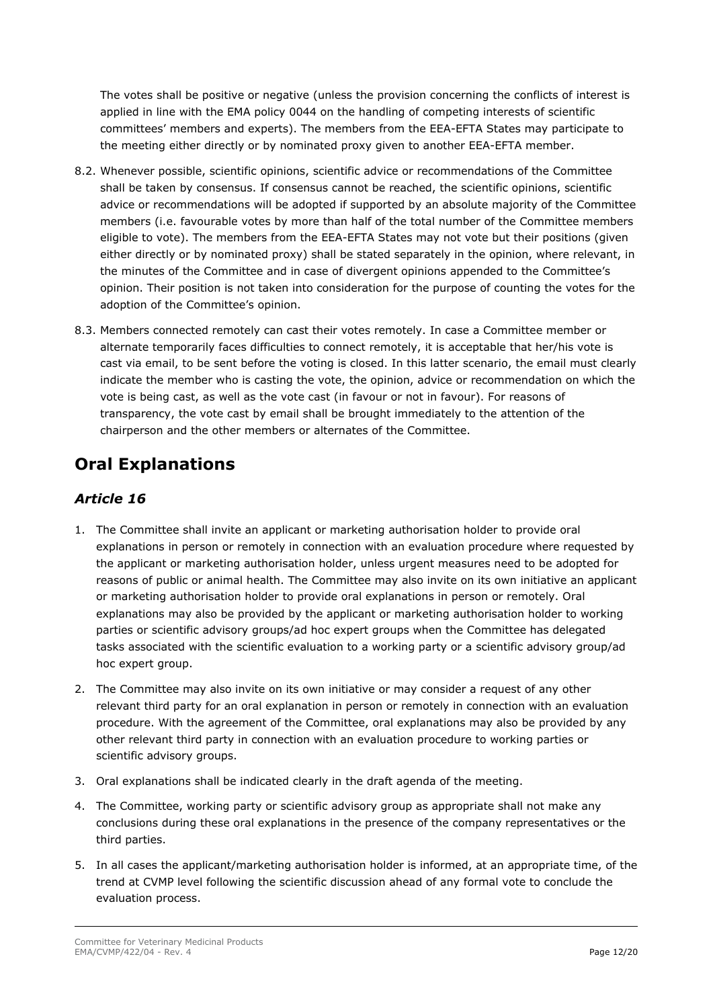The votes shall be positive or negative (unless the provision concerning the conflicts of interest is applied in line with the EMA policy 0044 on the handling of competing interests of scientific committees' members and experts). The members from the EEA-EFTA States may participate to the meeting either directly or by nominated proxy given to another EEA-EFTA member.

- 8.2. Whenever possible, scientific opinions, scientific advice or recommendations of the Committee shall be taken by consensus. If consensus cannot be reached, the scientific opinions, scientific advice or recommendations will be adopted if supported by an absolute majority of the Committee members (i.e. favourable votes by more than half of the total number of the Committee members eligible to vote). The members from the EEA-EFTA States may not vote but their positions (given either directly or by nominated proxy) shall be stated separately in the opinion, where relevant, in the minutes of the Committee and in case of divergent opinions appended to the Committee's opinion. Their position is not taken into consideration for the purpose of counting the votes for the adoption of the Committee's opinion.
- 8.3. Members connected remotely can cast their votes remotely. In case a Committee member or alternate temporarily faces difficulties to connect remotely, it is acceptable that her/his vote is cast via email, to be sent before the voting is closed. In this latter scenario, the email must clearly indicate the member who is casting the vote, the opinion, advice or recommendation on which the vote is being cast, as well as the vote cast (in favour or not in favour). For reasons of transparency, the vote cast by email shall be brought immediately to the attention of the chairperson and the other members or alternates of the Committee.

### <span id="page-11-1"></span><span id="page-11-0"></span>**Oral Explanations**

- 1. The Committee shall invite an applicant or marketing authorisation holder to provide oral explanations in person or remotely in connection with an evaluation procedure where requested by the applicant or marketing authorisation holder, unless urgent measures need to be adopted for reasons of public or animal health. The Committee may also invite on its own initiative an applicant or marketing authorisation holder to provide oral explanations in person or remotely. Oral explanations may also be provided by the applicant or marketing authorisation holder to working parties or scientific advisory groups/ad hoc expert groups when the Committee has delegated tasks associated with the scientific evaluation to a working party or a scientific advisory group/ad hoc expert group.
- 2. The Committee may also invite on its own initiative or may consider a request of any other relevant third party for an oral explanation in person or remotely in connection with an evaluation procedure. With the agreement of the Committee, oral explanations may also be provided by any other relevant third party in connection with an evaluation procedure to working parties or scientific advisory groups.
- 3. Oral explanations shall be indicated clearly in the draft agenda of the meeting.
- 4. The Committee, working party or scientific advisory group as appropriate shall not make any conclusions during these oral explanations in the presence of the company representatives or the third parties.
- 5. In all cases the applicant/marketing authorisation holder is informed, at an appropriate time, of the trend at CVMP level following the scientific discussion ahead of any formal vote to conclude the evaluation process.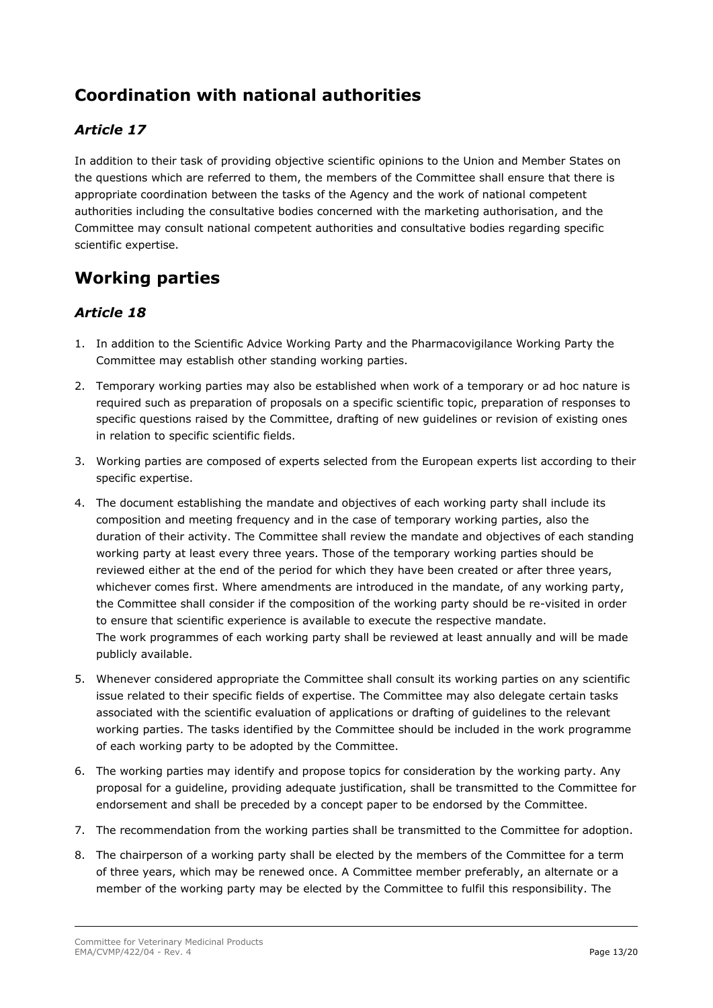## <span id="page-12-0"></span>**Coordination with national authorities**

### <span id="page-12-1"></span>*Article 17*

In addition to their task of providing objective scientific opinions to the Union and Member States on the questions which are referred to them, the members of the Committee shall ensure that there is appropriate coordination between the tasks of the Agency and the work of national competent authorities including the consultative bodies concerned with the marketing authorisation, and the Committee may consult national competent authorities and consultative bodies regarding specific scientific expertise.

### <span id="page-12-3"></span><span id="page-12-2"></span>**Working parties**

- 1. In addition to the Scientific Advice Working Party and the Pharmacovigilance Working Party the Committee may establish other standing working parties.
- 2. Temporary working parties may also be established when work of a temporary or ad hoc nature is required such as preparation of proposals on a specific scientific topic, preparation of responses to specific questions raised by the Committee, drafting of new guidelines or revision of existing ones in relation to specific scientific fields.
- 3. Working parties are composed of experts selected from the European experts list according to their specific expertise.
- 4. The document establishing the mandate and objectives of each working party shall include its composition and meeting frequency and in the case of temporary working parties, also the duration of their activity. The Committee shall review the mandate and objectives of each standing working party at least every three years. Those of the temporary working parties should be reviewed either at the end of the period for which they have been created or after three years, whichever comes first. Where amendments are introduced in the mandate, of any working party, the Committee shall consider if the composition of the working party should be re-visited in order to ensure that scientific experience is available to execute the respective mandate. The work programmes of each working party shall be reviewed at least annually and will be made publicly available.
- 5. Whenever considered appropriate the Committee shall consult its working parties on any scientific issue related to their specific fields of expertise. The Committee may also delegate certain tasks associated with the scientific evaluation of applications or drafting of guidelines to the relevant working parties. The tasks identified by the Committee should be included in the work programme of each working party to be adopted by the Committee.
- 6. The working parties may identify and propose topics for consideration by the working party. Any proposal for a guideline, providing adequate justification, shall be transmitted to the Committee for endorsement and shall be preceded by a concept paper to be endorsed by the Committee.
- 7. The recommendation from the working parties shall be transmitted to the Committee for adoption.
- 8. The chairperson of a working party shall be elected by the members of the Committee for a term of three years, which may be renewed once. A Committee member preferably, an alternate or a member of the working party may be elected by the Committee to fulfil this responsibility. The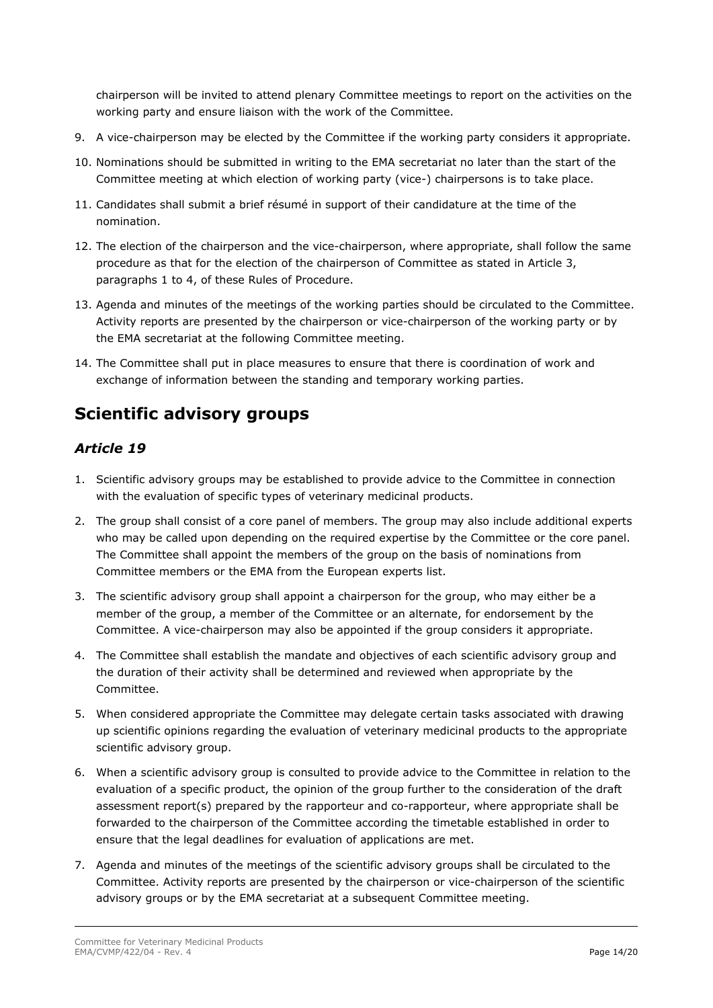chairperson will be invited to attend plenary Committee meetings to report on the activities on the working party and ensure liaison with the work of the Committee.

- 9. A vice-chairperson may be elected by the Committee if the working party considers it appropriate.
- 10. Nominations should be submitted in writing to the EMA secretariat no later than the start of the Committee meeting at which election of working party (vice-) chairpersons is to take place.
- 11. Candidates shall submit a brief résumé in support of their candidature at the time of the nomination.
- 12. The election of the chairperson and the vice-chairperson, where appropriate, shall follow the same procedure as that for the election of the chairperson of Committee as stated in Article 3, paragraphs 1 to 4, of these Rules of Procedure.
- 13. Agenda and minutes of the meetings of the working parties should be circulated to the Committee. Activity reports are presented by the chairperson or vice-chairperson of the working party or by the EMA secretariat at the following Committee meeting.
- 14. The Committee shall put in place measures to ensure that there is coordination of work and exchange of information between the standing and temporary working parties.

### <span id="page-13-1"></span><span id="page-13-0"></span>**Scientific advisory groups**

- 1. Scientific advisory groups may be established to provide advice to the Committee in connection with the evaluation of specific types of veterinary medicinal products.
- 2. The group shall consist of a core panel of members. The group may also include additional experts who may be called upon depending on the required expertise by the Committee or the core panel. The Committee shall appoint the members of the group on the basis of nominations from Committee members or the EMA from the European experts list.
- 3. The scientific advisory group shall appoint a chairperson for the group, who may either be a member of the group, a member of the Committee or an alternate, for endorsement by the Committee. A vice-chairperson may also be appointed if the group considers it appropriate.
- 4. The Committee shall establish the mandate and objectives of each scientific advisory group and the duration of their activity shall be determined and reviewed when appropriate by the Committee.
- 5. When considered appropriate the Committee may delegate certain tasks associated with drawing up scientific opinions regarding the evaluation of veterinary medicinal products to the appropriate scientific advisory group.
- 6. When a scientific advisory group is consulted to provide advice to the Committee in relation to the evaluation of a specific product, the opinion of the group further to the consideration of the draft assessment report(s) prepared by the rapporteur and co-rapporteur, where appropriate shall be forwarded to the chairperson of the Committee according the timetable established in order to ensure that the legal deadlines for evaluation of applications are met.
- 7. Agenda and minutes of the meetings of the scientific advisory groups shall be circulated to the Committee. Activity reports are presented by the chairperson or vice-chairperson of the scientific advisory groups or by the EMA secretariat at a subsequent Committee meeting.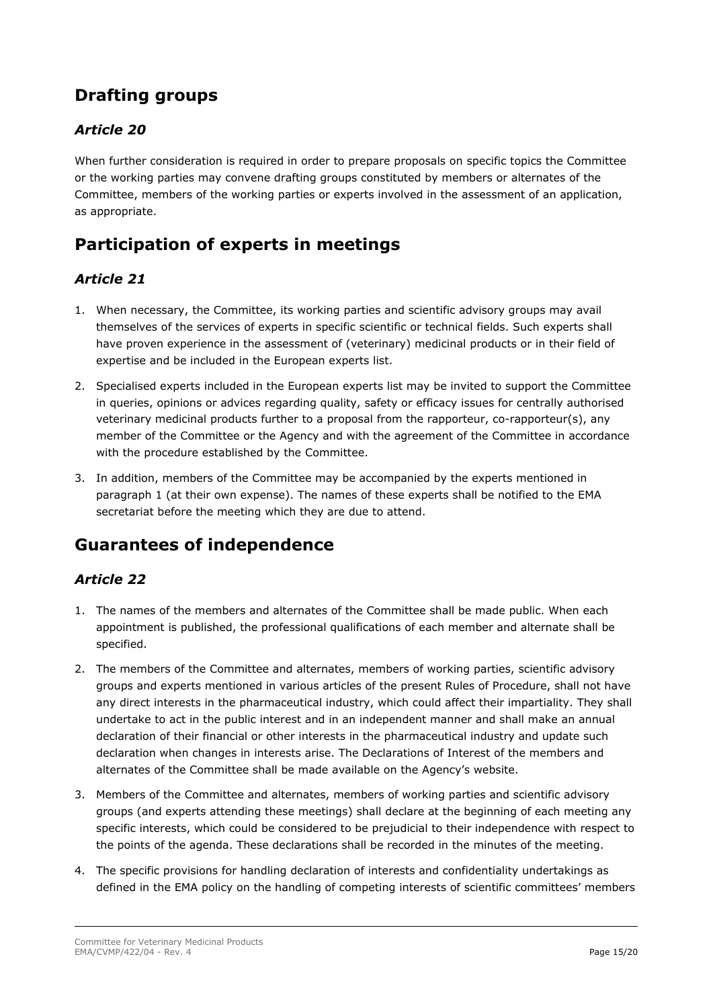## <span id="page-14-0"></span>**Drafting groups**

### <span id="page-14-1"></span>*Article 20*

When further consideration is required in order to prepare proposals on specific topics the Committee or the working parties may convene drafting groups constituted by members or alternates of the Committee, members of the working parties or experts involved in the assessment of an application, as appropriate.

### <span id="page-14-2"></span>**Participation of experts in meetings**

#### <span id="page-14-3"></span>*Article 21*

- 1. When necessary, the Committee, its working parties and scientific advisory groups may avail themselves of the services of experts in specific scientific or technical fields. Such experts shall have proven experience in the assessment of (veterinary) medicinal products or in their field of expertise and be included in the European experts list.
- 2. Specialised experts included in the European experts list may be invited to support the Committee in queries, opinions or advices regarding quality, safety or efficacy issues for centrally authorised veterinary medicinal products further to a proposal from the rapporteur, co-rapporteur(s), any member of the Committee or the Agency and with the agreement of the Committee in accordance with the procedure established by the Committee.
- 3. In addition, members of the Committee may be accompanied by the experts mentioned in paragraph 1 (at their own expense). The names of these experts shall be notified to the EMA secretariat before the meeting which they are due to attend.

### <span id="page-14-5"></span><span id="page-14-4"></span>**Guarantees of independence**

- 1. The names of the members and alternates of the Committee shall be made public. When each appointment is published, the professional qualifications of each member and alternate shall be specified.
- 2. The members of the Committee and alternates, members of working parties, scientific advisory groups and experts mentioned in various articles of the present Rules of Procedure, shall not have any direct interests in the pharmaceutical industry, which could affect their impartiality. They shall undertake to act in the public interest and in an independent manner and shall make an annual declaration of their financial or other interests in the pharmaceutical industry and update such declaration when changes in interests arise. The Declarations of Interest of the members and alternates of the Committee shall be made available on the Agency's website.
- 3. Members of the Committee and alternates, members of working parties and scientific advisory groups (and experts attending these meetings) shall declare at the beginning of each meeting any specific interests, which could be considered to be prejudicial to their independence with respect to the points of the agenda. These declarations shall be recorded in the minutes of the meeting.
- 4. The specific provisions for handling declaration of interests and confidentiality undertakings as defined in the EMA policy on the handling of competing interests of scientific committees' members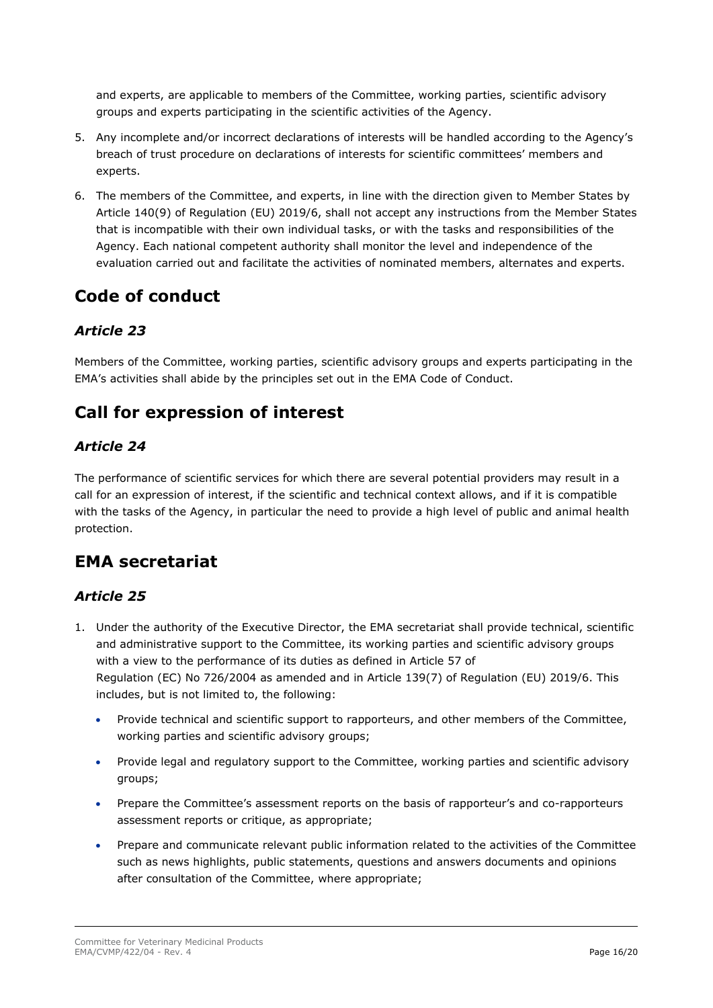and experts, are applicable to members of the Committee, working parties, scientific advisory groups and experts participating in the scientific activities of the Agency.

- 5. Any incomplete and/or incorrect declarations of interests will be handled according to the Agency's breach of trust procedure on declarations of interests for scientific committees' members and experts.
- 6. The members of the Committee, and experts, in line with the direction given to Member States by Article 140(9) of Regulation (EU) 2019/6, shall not accept any instructions from the Member States that is incompatible with their own individual tasks, or with the tasks and responsibilities of the Agency. Each national competent authority shall monitor the level and independence of the evaluation carried out and facilitate the activities of nominated members, alternates and experts.

### <span id="page-15-0"></span>**Code of conduct**

### <span id="page-15-1"></span>*Article 23*

Members of the Committee, working parties, scientific advisory groups and experts participating in the EMA's activities shall abide by the principles set out in the EMA Code of Conduct.

## <span id="page-15-2"></span>**Call for expression of interest**

#### <span id="page-15-3"></span>*Article 24*

The performance of scientific services for which there are several potential providers may result in a call for an expression of interest, if the scientific and technical context allows, and if it is compatible with the tasks of the Agency, in particular the need to provide a high level of public and animal health protection.

### <span id="page-15-5"></span><span id="page-15-4"></span>**EMA secretariat**

- 1. Under the authority of the Executive Director, the EMA secretariat shall provide technical, scientific and administrative support to the Committee, its working parties and scientific advisory groups with a view to the performance of its duties as defined in Article 57 of Regulation (EC) No 726/2004 as amended and in Article 139(7) of Regulation (EU) 2019/6. This includes, but is not limited to, the following:
	- Provide technical and scientific support to rapporteurs, and other members of the Committee, working parties and scientific advisory groups;
	- Provide legal and regulatory support to the Committee, working parties and scientific advisory groups;
	- Prepare the Committee's assessment reports on the basis of rapporteur's and co-rapporteurs assessment reports or critique, as appropriate;
	- Prepare and communicate relevant public information related to the activities of the Committee such as news highlights, public statements, questions and answers documents and opinions after consultation of the Committee, where appropriate;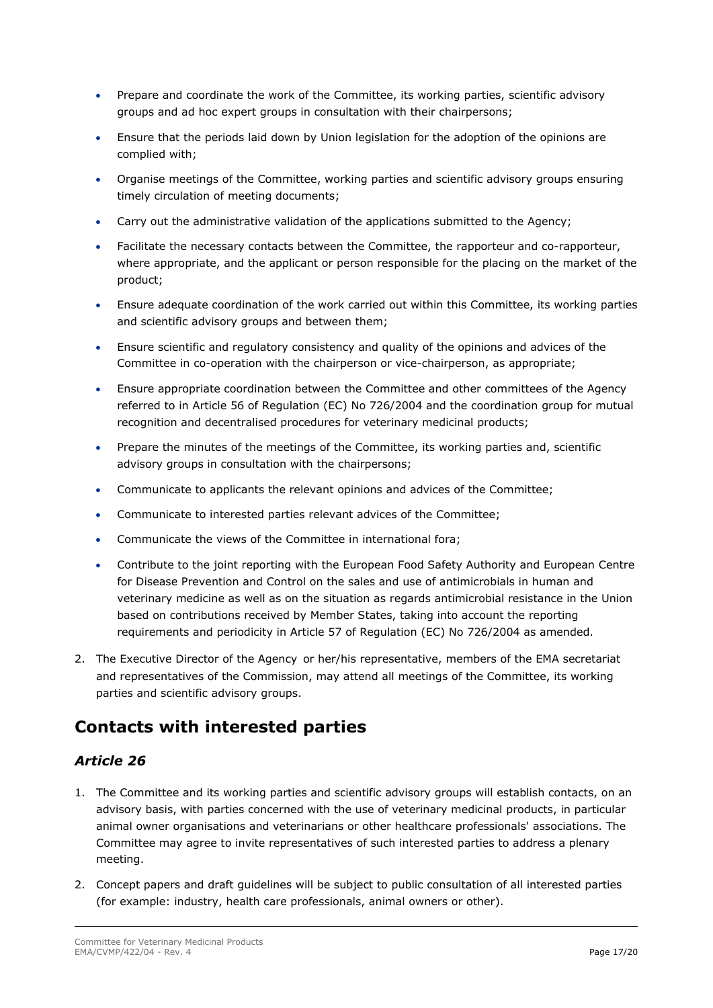- Prepare and coordinate the work of the Committee, its working parties, scientific advisory groups and ad hoc expert groups in consultation with their chairpersons;
- Ensure that the periods laid down by Union legislation for the adoption of the opinions are complied with;
- Organise meetings of the Committee, working parties and scientific advisory groups ensuring timely circulation of meeting documents;
- Carry out the administrative validation of the applications submitted to the Agency;
- Facilitate the necessary contacts between the Committee, the rapporteur and co-rapporteur, where appropriate, and the applicant or person responsible for the placing on the market of the product;
- Ensure adequate coordination of the work carried out within this Committee, its working parties and scientific advisory groups and between them;
- Ensure scientific and regulatory consistency and quality of the opinions and advices of the Committee in co-operation with the chairperson or vice-chairperson, as appropriate;
- Ensure appropriate coordination between the Committee and other committees of the Agency referred to in Article 56 of Regulation (EC) No 726/2004 and the coordination group for mutual recognition and decentralised procedures for veterinary medicinal products;
- Prepare the minutes of the meetings of the Committee, its working parties and, scientific advisory groups in consultation with the chairpersons;
- Communicate to applicants the relevant opinions and advices of the Committee;
- Communicate to interested parties relevant advices of the Committee;
- Communicate the views of the Committee in international fora;
- Contribute to the joint reporting with the European Food Safety Authority and European Centre for Disease Prevention and Control on the sales and use of antimicrobials in human and veterinary medicine as well as on the situation as regards antimicrobial resistance in the Union based on contributions received by Member States, taking into account the reporting requirements and periodicity in Article 57 of Regulation (EC) No 726/2004 as amended.
- 2. The Executive Director of the Agency or her/his representative, members of the EMA secretariat and representatives of the Commission, may attend all meetings of the Committee, its working parties and scientific advisory groups.

### <span id="page-16-1"></span><span id="page-16-0"></span>**Contacts with interested parties**

- 1. The Committee and its working parties and scientific advisory groups will establish contacts, on an advisory basis, with parties concerned with the use of veterinary medicinal products, in particular animal owner organisations and veterinarians or other healthcare professionals' associations. The Committee may agree to invite representatives of such interested parties to address a plenary meeting.
- 2. Concept papers and draft guidelines will be subject to public consultation of all interested parties (for example: industry, health care professionals, animal owners or other).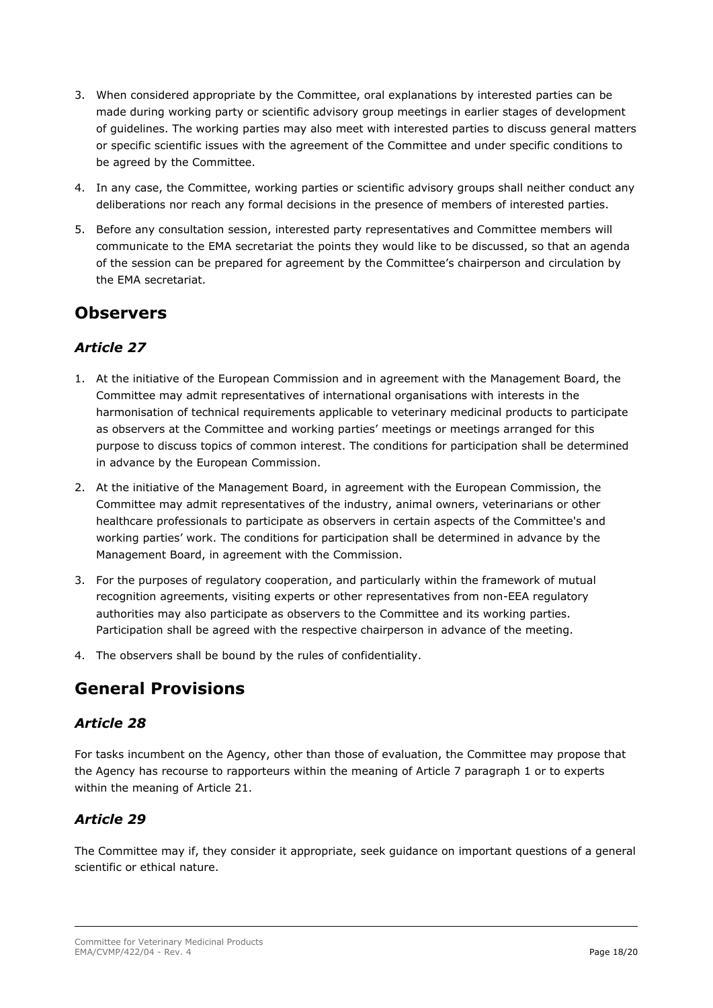- 3. When considered appropriate by the Committee, oral explanations by interested parties can be made during working party or scientific advisory group meetings in earlier stages of development of guidelines. The working parties may also meet with interested parties to discuss general matters or specific scientific issues with the agreement of the Committee and under specific conditions to be agreed by the Committee.
- 4. In any case, the Committee, working parties or scientific advisory groups shall neither conduct any deliberations nor reach any formal decisions in the presence of members of interested parties.
- 5. Before any consultation session, interested party representatives and Committee members will communicate to the EMA secretariat the points they would like to be discussed, so that an agenda of the session can be prepared for agreement by the Committee's chairperson and circulation by the EMA secretariat.

### <span id="page-17-0"></span>**Observers**

### <span id="page-17-1"></span>*Article 27*

- 1. At the initiative of the European Commission and in agreement with the Management Board, the Committee may admit representatives of international organisations with interests in the harmonisation of technical requirements applicable to veterinary medicinal products to participate as observers at the Committee and working parties' meetings or meetings arranged for this purpose to discuss topics of common interest. The conditions for participation shall be determined in advance by the European Commission.
- 2. At the initiative of the Management Board, in agreement with the European Commission, the Committee may admit representatives of the industry, animal owners, veterinarians or other healthcare professionals to participate as observers in certain aspects of the Committee's and working parties' work. The conditions for participation shall be determined in advance by the Management Board, in agreement with the Commission.
- 3. For the purposes of regulatory cooperation, and particularly within the framework of mutual recognition agreements, visiting experts or other representatives from non-EEA regulatory authorities may also participate as observers to the Committee and its working parties. Participation shall be agreed with the respective chairperson in advance of the meeting.
- 4. The observers shall be bound by the rules of confidentiality.

### <span id="page-17-2"></span>**General Provisions**

### <span id="page-17-3"></span>*Article 28*

For tasks incumbent on the Agency, other than those of evaluation, the Committee may propose that the Agency has recourse to rapporteurs within the meaning of Article 7 paragraph 1 or to experts within the meaning of Article 21.

### <span id="page-17-4"></span>*Article 29*

The Committee may if, they consider it appropriate, seek guidance on important questions of a general scientific or ethical nature.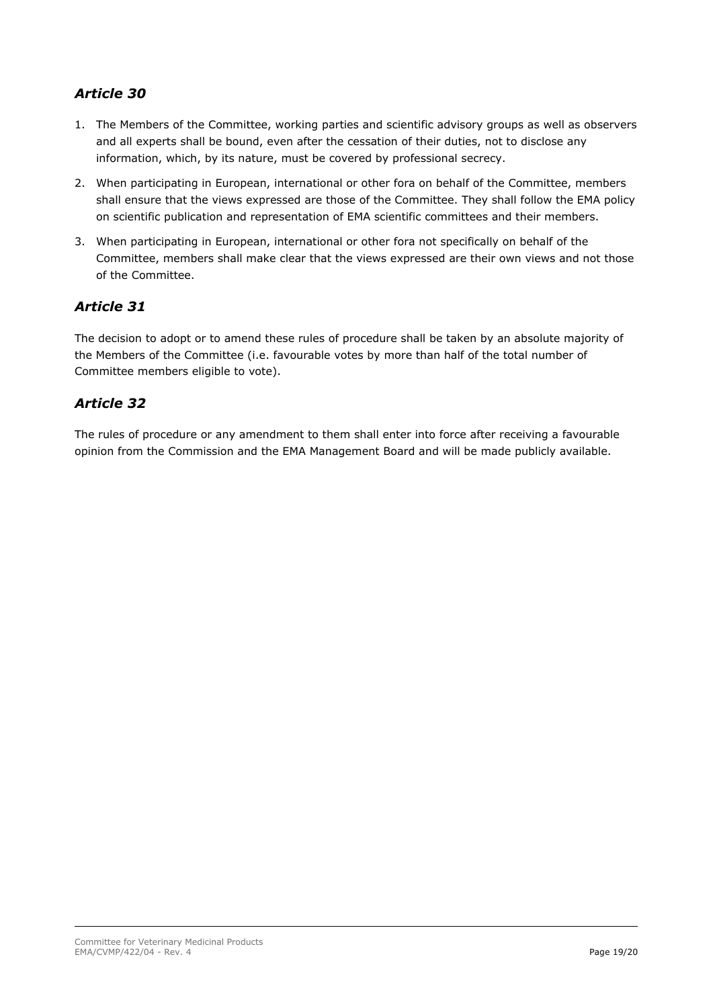### <span id="page-18-0"></span>*Article 30*

- 1. The Members of the Committee, working parties and scientific advisory groups as well as observers and all experts shall be bound, even after the cessation of their duties, not to disclose any information, which, by its nature, must be covered by professional secrecy.
- 2. When participating in European, international or other fora on behalf of the Committee, members shall ensure that the views expressed are those of the Committee. They shall follow the EMA policy on scientific publication and representation of EMA scientific committees and their members.
- 3. When participating in European, international or other fora not specifically on behalf of the Committee, members shall make clear that the views expressed are their own views and not those of the Committee.

#### <span id="page-18-1"></span>*Article 31*

The decision to adopt or to amend these rules of procedure shall be taken by an absolute majority of the Members of the Committee (i.e. favourable votes by more than half of the total number of Committee members eligible to vote).

#### <span id="page-18-2"></span>*Article 32*

The rules of procedure or any amendment to them shall enter into force after receiving a favourable opinion from the Commission and the EMA Management Board and will be made publicly available.